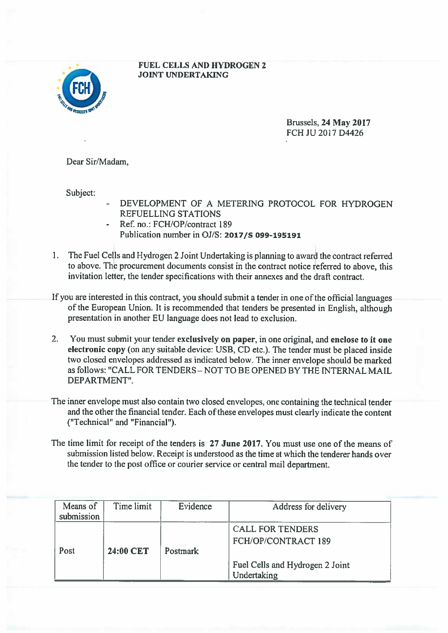

 FUEL CELLS AND HYDROGEN 2 JOINT UNDERTAKING

> Brussels, 24 May 2017 FCH JU 2017 D4426

Dear Sir/Madam,

Subject:

- DEVELOPMENT OF A METERING PROTOCOL FOR HYDROGEN REFUELLING STATIONS
- Ref. no.: FCH/OP/contract 189 Publication number in OJ/S: 2017/5 099-195191
- 1. The Fuel Cells and Hydrogen 2 Joint Undertaking is planning to award the contract referred to above. The procuremen<sup>t</sup> documents consist in the contract notice feferred to above, this invitation letter, the tender specifications with their annexes and the draft contract.
- If you are interested in this contract, you should submit <sup>a</sup> tender in one of the official languages of the European Union. It is recommended that tenders be presented in English, although presentation in another EU language does not lead to exclusion.
- 2. You must submit your tender exclusively on paper, in one original, and enclose to it one electronic copy (on any suitable device: USB, CD etc.). The tender must be <sup>p</sup>laced inside two closed envelopes addressed as indicated below. The inner envelope should be marked as follows: "CALL FOR TENDERS - NOT TO BE OPENED BY THE INTERNAL MAIL DEPARTMENT'.
- The inner envelope must also contain two closed envelopes, one containing the technical tender and the other the financial tender. Each of these envelopes must clearly indicate the content ("Teclmical" and "Financial").
- The time limit for receipt of the tenders is 27 June 2017. You must use one of the means of submission listed below. Receipt is understood as the time at which the tenderer hands over the tender to the pos<sup>t</sup> office or courier service or central mail department.

| Means of<br>submission | Time limit | Evidence        | Address for delivery                           |
|------------------------|------------|-----------------|------------------------------------------------|
| Post                   | 24:00 CET  | <b>Postmark</b> | <b>CALL FOR TENDERS</b><br>FCH/OP/CONTRACT 189 |
|                        |            |                 | Fuel Cells and Hydrogen 2 Joint<br>Undertaking |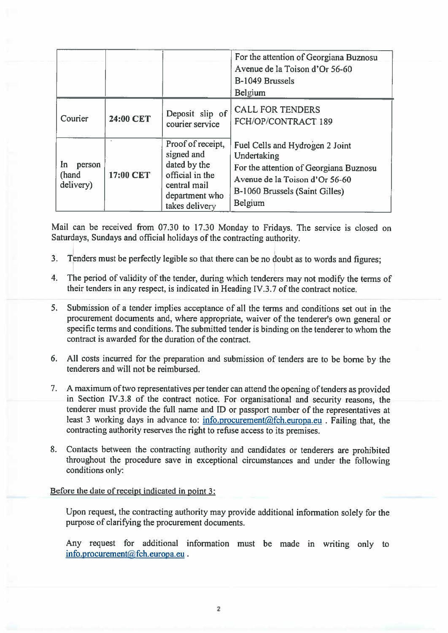|                                     |           |                                                                                                                        | For the attention of Georgiana Buznosu<br>Avenue de la Toison d'Or 56-60<br>B-1049 Brussels<br><b>Belgium</b>                                                           |
|-------------------------------------|-----------|------------------------------------------------------------------------------------------------------------------------|-------------------------------------------------------------------------------------------------------------------------------------------------------------------------|
| Courier                             | 24:00 CET | Deposit slip of<br>courier service                                                                                     | <b>CALL FOR TENDERS</b><br>FCH/OP/CONTRACT 189                                                                                                                          |
| In.<br>person<br>(hand<br>delivery) | 17:00 CET | Proof of receipt,<br>signed and<br>dated by the<br>official in the<br>central mail<br>department who<br>takes delivery | Fuel Cells and Hydrogen 2 Joint<br>Undertaking<br>For the attention of Georgiana Buznosu<br>Avenue de la Toison d'Or 56-60<br>B-1060 Brussels (Saint Gilles)<br>Belgium |

Mail can be received from 07.30 to 17.30 Monday to Fridays. The service is closed on Saturdays, Sundays and official holidays of the contracting authority.

- 3. Tenders must be perfectly legible so that there can be no doubt as to words and figures;
- 4. The period of validity of the tender, during which tenderers may not modify the terms of their tenders in any respect, is indicated in Heading IV.3.7 of the contract notice.
- 5. Submission of <sup>a</sup> tender implies acceptance of all the terms and conditions set out in the procurement documents and, where appropriate, waiver of the tenderer's own general or specific terms and conditions. The submitted tender is binding on the tenderer to whom the contract is awarded for the duration of the contract.
- 6. All costs incurred for the preparation and submission of tenders are to be borne by the tenderers and will not be reimbursed.
- 7. A maximum of two representatives per tender can attend the opening of tenders as provided in Section IV.3.8 of the contract notice. For organisational and security reasons, the tenderer must provide the full name and ID or passpor<sup>t</sup> number of the representatives at least 3 working days in advance to:  $\inf$ <sub>0.procurement</sub> $@$ fch.europa.eu . Failing that, the contracting authority reserves the right to refuse access to its premises.
- 8. Contacts between the contracting authority and candidates or tenderers are prohibited throughout the procedure save in exceptional circumstances and under the following conditions only:

## Before the date of receipt indicated in point 3:

Upon request, the contracting authority may provide additional information solely for the purpose of clarifying the procuremen<sup>t</sup> documents.

Any reques<sup>t</sup> for additional information must be made in writing only to info.procurement@fch.europa.eu.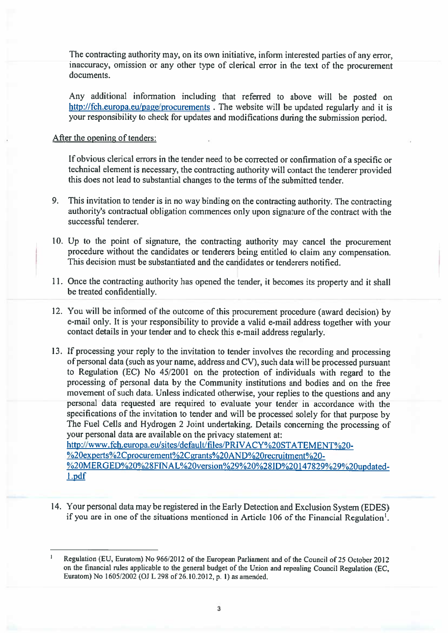The contracting authority may, on its own initiative, inform interested parties of any error, inaccuracy, omission or any other type of clerical error in the text of the procuremen<sup>t</sup> documents.

Any additional information including that referred to above will be posted on http://fch.europa.eu/page/procurements. The website will be updated regularly and it is your responsibility to check for updates and modifications during the submission period.

## After the opening of tenders:

If obvious clerical errors in the tender need to be corrected or confirmation of <sup>a</sup> specific or technical element is necessary, the contracting authority will contact the tenderer provided this does not lead to substantial changes to the terms of the submitted tender.

- 9. This invitation to tender is in no way binding on the contracting authority. The contracting authority's contractual obligation commences only upon signature of the contract with the successful tenderer.
- 0. Up to the point of signature, the contracting authority may cancel the procuremen<sup>t</sup> procedure without the candidates or tenderers being entitled to claim any compensation. This decision must be substantiated and the candidates or tenderers notified.
- 11. Once the contracting authority has opene<sup>d</sup> the tender, it becomes its property and it shall be treated confidentially.
- 12. You will be informed of the outcome of this procuremen<sup>t</sup> procedure (award decision) by e-mail only. It is your responsibility to provide <sup>a</sup> valid e-mail address together with your contact details in your tender and to check this e-mail address regularly.
- 13. If processing your reply to the invitation to tender involves the recording and processing of persona<sup>l</sup> data (such as your name, address and CV), such data will be processe<sup>d</sup> pursuan<sup>t</sup> to Regulation (EC) No  $45/2001$  on the protection of individuals with regard to the processing of persona<sup>l</sup> data by the Community institutions and bodies and on the free movement of such data. Unless indicated otherwise, your replies to the questions and any persona<sup>l</sup> data requested are required to evaluate your tender in accordance with the specifications of the invitation to tender and will be processe<sup>d</sup> solely for that purpose by The Fuel Cells and Hydrogen <sup>2</sup> Joint undertaking. Details concerning the processing of your personal data are available on the privacy statement at: http://www.fch.europa.eu/sites/default/files/PRIVACY%2OSTATEMENT%20- %20experts%2Cprocurement%2Cgrants%2OAND%20recmitment%20-

%20MERGED%20%28FINAL%20version%29%20%28ID%20147829%29%20updated-1.pdf

14. Your persona<sup>l</sup> data may be registered in the Early Detection and Exclusion System (EDES) if you are in one of the situations mentioned in Article <sup>106</sup> of the Financial Regulation'.

Regulation (EU, Euratom) No 966/2012 of the European Parliament and of the Council of 25 October 2012 on the financial rules applicable to the genera<sup>l</sup> budget of the Union and repealing Council Regulation (EC, Euratom) No 1605/2002 (OJ L 298 of 26.10.2012, p. 1) as amended.